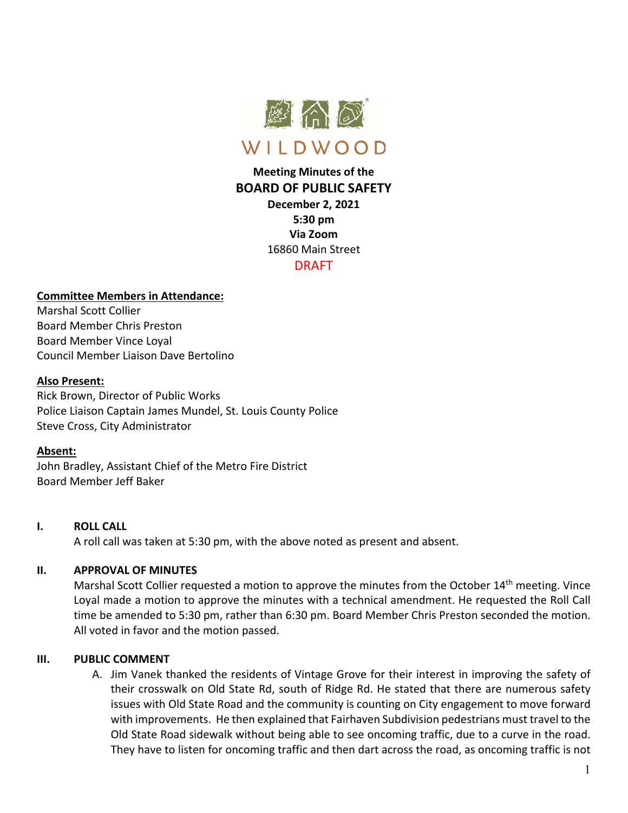

# **Meeting Minutes of the BOARD OF PUBLIC SAFETY**

**December 2, 2021 5:30 pm Via Zoom** 16860 Main Street DRAFT

#### **Committee Members in Attendance:**

Marshal Scott Collier Board Member Chris Preston Board Member Vince Loyal Council Member Liaison Dave Bertolino

#### **Also Present:**

Rick Brown, Director of Public Works Police Liaison Captain James Mundel, St. Louis County Police Steve Cross, City Administrator

#### **Absent:**

John Bradley, Assistant Chief of the Metro Fire District Board Member Jeff Baker

#### **I. ROLL CALL**

A roll call was taken at 5:30 pm, with the above noted as present and absent.

#### **II. APPROVAL OF MINUTES**

Marshal Scott Collier requested a motion to approve the minutes from the October 14<sup>th</sup> meeting. Vince Loyal made a motion to approve the minutes with a technical amendment. He requested the Roll Call time be amended to 5:30 pm, rather than 6:30 pm. Board Member Chris Preston seconded the motion. All voted in favor and the motion passed.

#### **III. PUBLIC COMMENT**

A. Jim Vanek thanked the residents of Vintage Grove for their interest in improving the safety of their crosswalk on Old State Rd, south of Ridge Rd. He stated that there are numerous safety issues with Old State Road and the community is counting on City engagement to move forward with improvements. He then explained that Fairhaven Subdivision pedestrians must travel to the Old State Road sidewalk without being able to see oncoming traffic, due to a curve in the road. They have to listen for oncoming traffic and then dart across the road, as oncoming traffic is not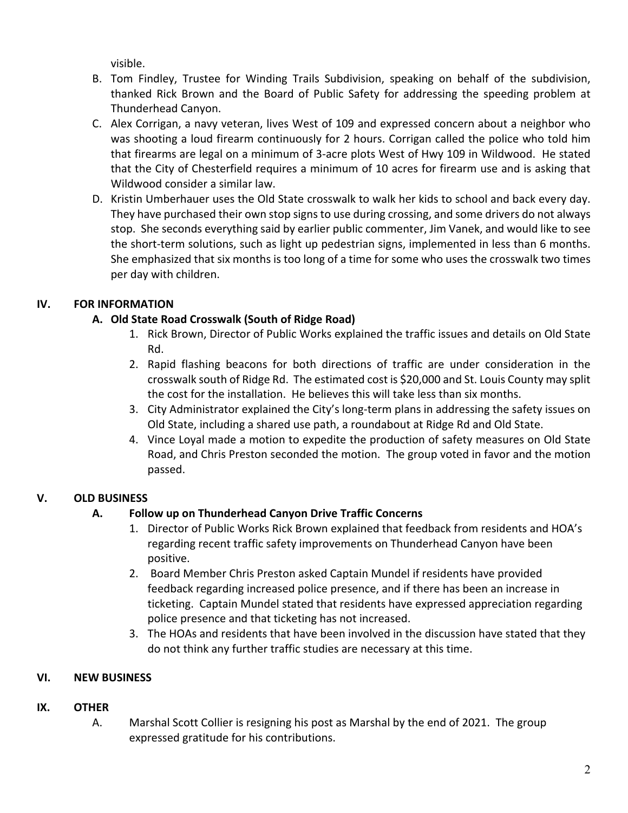visible.

- B. Tom Findley, Trustee for Winding Trails Subdivision, speaking on behalf of the subdivision, thanked Rick Brown and the Board of Public Safety for addressing the speeding problem at Thunderhead Canyon.
- C. Alex Corrigan, a navy veteran, lives West of 109 and expressed concern about a neighbor who was shooting a loud firearm continuously for 2 hours. Corrigan called the police who told him that firearms are legal on a minimum of 3-acre plots West of Hwy 109 in Wildwood. He stated that the City of Chesterfield requires a minimum of 10 acres for firearm use and is asking that Wildwood consider a similar law.
- D. Kristin Umberhauer uses the Old State crosswalk to walk her kids to school and back every day. They have purchased their own stop signs to use during crossing, and some drivers do not always stop. She seconds everything said by earlier public commenter, Jim Vanek, and would like to see the short-term solutions, such as light up pedestrian signs, implemented in less than 6 months. She emphasized that six months is too long of a time for some who uses the crosswalk two times per day with children.

## **IV. FOR INFORMATION**

### **A. Old State Road Crosswalk (South of Ridge Road)**

- 1. Rick Brown, Director of Public Works explained the traffic issues and details on Old State Rd.
- 2. Rapid flashing beacons for both directions of traffic are under consideration in the crosswalk south of Ridge Rd. The estimated cost is \$20,000 and St. Louis County may split the cost for the installation. He believes this will take less than six months.
- 3. City Administrator explained the City's long-term plans in addressing the safety issues on Old State, including a shared use path, a roundabout at Ridge Rd and Old State.
- 4. Vince Loyal made a motion to expedite the production of safety measures on Old State Road, and Chris Preston seconded the motion. The group voted in favor and the motion passed.

## **V. OLD BUSINESS**

## **A. Follow up on Thunderhead Canyon Drive Traffic Concerns**

- 1. Director of Public Works Rick Brown explained that feedback from residents and HOA's regarding recent traffic safety improvements on Thunderhead Canyon have been positive.
- 2. Board Member Chris Preston asked Captain Mundel if residents have provided feedback regarding increased police presence, and if there has been an increase in ticketing. Captain Mundel stated that residents have expressed appreciation regarding police presence and that ticketing has not increased.
- 3. The HOAs and residents that have been involved in the discussion have stated that they do not think any further traffic studies are necessary at this time.

## **VI. NEW BUSINESS**

## **IX. OTHER**

A. Marshal Scott Collier is resigning his post as Marshal by the end of 2021. The group expressed gratitude for his contributions.